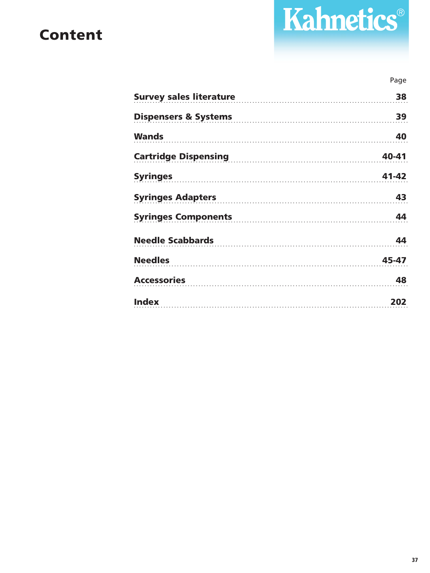## **Content**

# Kahnetics®

#### Page

| Survey sales literature                              | 38    |
|------------------------------------------------------|-------|
| Dispensers & Systems                                 | 39    |
| <b>Wands</b>                                         | 40    |
| Cartridge Dispensing Management Cartridge Dispensing | 40-41 |
|                                                      | 41-42 |
| Syringes Adapters                                    | 43    |
| Syringes Components                                  | 44    |
| Needle Scabbards<br><u>Needle Scabbards</u>          | 44    |
|                                                      | 45-47 |
| <b>Accessories</b>                                   | 48    |
| <b>Index</b>                                         | 202   |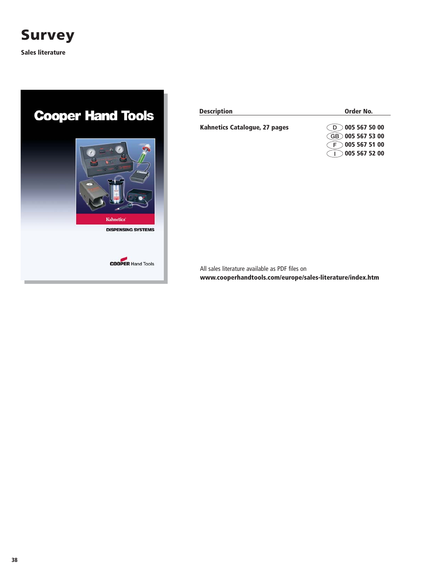

**Sales literature**

# **Cooper Hand Tools** Kahnetics **DISPENSING SYSTEMS COOPER Hand Tools**

| <b>Description</b>                   | Order No.                             |
|--------------------------------------|---------------------------------------|
| <b>Kahnetics Catalogue, 27 pages</b> | $\bigcirc$ D $\bigcirc$ 005 567 50 00 |
|                                      | GB 005 567 53 00                      |
|                                      | 0055675100                            |
|                                      | 005 567 52 00                         |

All sales literature available as PDF files on **www.cooperhandtools.com/europe/sales-literature/index.htm**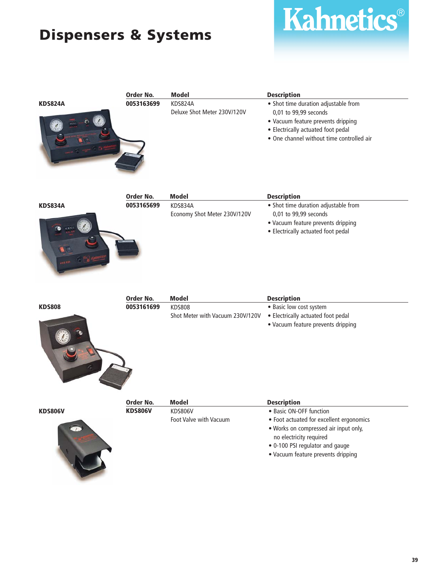## **Dispensers & Systems**



Kahnetics®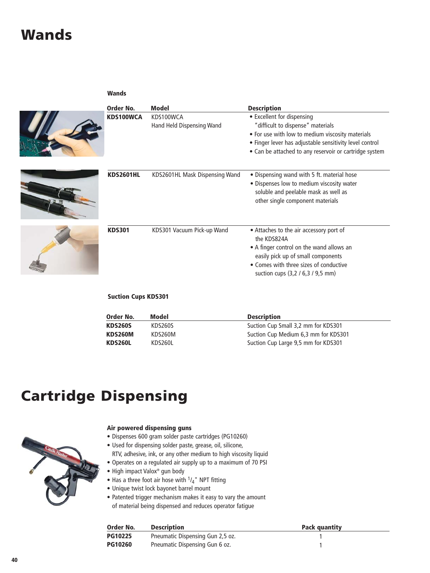## **Wands**

#### **Wands**



| Order No.        | <b>Model</b>                           | <b>Description</b>                                                                                                                                                                                                                       |
|------------------|----------------------------------------|------------------------------------------------------------------------------------------------------------------------------------------------------------------------------------------------------------------------------------------|
| KDS100WCA        | KDS100WCA<br>Hand Held Dispensing Wand | • Excellent for dispensing<br>"difficult to dispense" materials<br>• For use with low to medium viscosity materials<br>• Finger lever has adjustable sensitivity level control<br>• Can be attached to any reservoir or cartridge system |
| <b>KDS2601HL</b> | KDS2601HL Mask Dispensing Wand         | • Dispensing wand with 5 ft. material hose<br>• Dispenses low to medium viscosity water<br>soluble and peelable mask as well as<br>other single component materials                                                                      |
| <b>KDS301</b>    | KDS301 Vacuum Pick-up Wand             | • Attaches to the air accessory port of<br>the KDS824A<br>• A finger control on the wand allows an<br>easily pick up of small components<br>• Comes with three sizes of conductive<br>suction cups (3,2 / 6,3 / 9,5 mm)                  |

#### **Suction Cups KDS301**

| Order No.      | Model   | <b>Description</b>                   |
|----------------|---------|--------------------------------------|
| <b>KDS260S</b> | KDS260S | Suction Cup Small 3,2 mm for KDS301  |
| KDS260M        | KDS260M | Suction Cup Medium 6,3 mm for KDS301 |
| KDS260L        | KDS260L | Suction Cup Large 9,5 mm for KDS301  |

## **Cartridge Dispensing**



#### **Air powered dispensing guns**

- Dispenses 600 gram solder paste cartridges (PG10260)
- Used for dispensing solder paste, grease, oil, silicone, RTV, adhesive, ink, or any other medium to high viscosity liquid
- Operates on a regulated air supply up to a maximum of 70 PSI
- High impact Valox® gun body
- Has a three foot air hose with  $1/4$ " NPT fitting
- Unique twist lock bayonet barrel mount
- Patented trigger mechanism makes it easy to vary the amount of material being dispensed and reduces operator fatigue

| Order No.      | <b>Description</b>               | Pack quantity |
|----------------|----------------------------------|---------------|
| <b>PG10225</b> | Pneumatic Dispensing Gun 2,5 oz. |               |
| <b>PG10260</b> | Pneumatic Dispensing Gun 6 oz.   |               |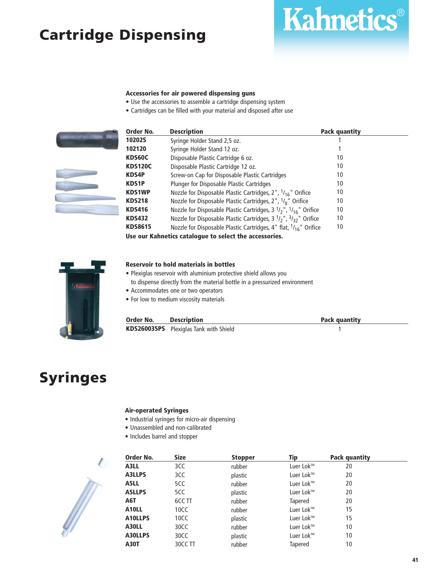## **Cartridge Dispensing**



- Use the accessories to assemble a cartridge dispensing system
- Cartridges can be filled with your material and disposed after use



| Order No.      | <b>Description</b>                                                                  | <b>Pack quantity</b> |  |
|----------------|-------------------------------------------------------------------------------------|----------------------|--|
| 102025         | Syringe Holder Stand 2,5 oz.                                                        |                      |  |
| 102120         | Syringe Holder Stand 12 oz.                                                         |                      |  |
| KDS60C         | Disposable Plastic Cartridge 6 oz.                                                  | 10                   |  |
| <b>KDS120C</b> | Disposable Plastic Cartridge 12 oz.                                                 | 10                   |  |
| <b>KDS4P</b>   | Screw-on Cap for Disposable Plastic Cartridges                                      | 10                   |  |
| <b>KDS1P</b>   | Plunger for Disposable Plastic Cartridges                                           | 10                   |  |
| <b>KDS1WP</b>  | Nozzle for Disposable Plastic Cartridges, $2''$ , $1/16''$ Orifice                  | 10                   |  |
| <b>KDS218</b>  | Nozzle for Disposable Plastic Cartridges, 2", <sup>1</sup> / <sub>8</sub> " Orifice | 10                   |  |
| <b>KDS416</b>  | Nozzle for Disposable Plastic Cartridges, $3 \frac{1}{2}$ , $\frac{1}{16}$ Orifice  | 10                   |  |
| <b>KDS432</b>  | Nozzle for Disposable Plastic Cartridges, 3 $1/2$ , $3/3$ , $3/3$                   | 10                   |  |
| <b>KDS8615</b> | Nozzle for Disposable Plastic Cartridges, 4" flat, 1/16" Orifice                    | 10                   |  |
|                | Use our Kahnetics catalogue to select the accessories.                              |                      |  |

Kahnetics®



#### **Reservoir to hold materials in bottles**

- Plexiglas reservoir with aluminium protective shield allows you to dispense directly from the material bottle in a pressurized environment
- Accommodates one or two operators
- For low to medium viscosity materials

| Order No. | <b>Description</b>                            | <b>Pack quantity</b> |
|-----------|-----------------------------------------------|----------------------|
|           | <b>KDS260035PS</b> Plexiglas Tank with Shield |                      |

## **Syringes**

#### **Air-operated Syringes**

- Industrial syringes for micro-air dispensing
- Unassembled and non-calibrated
- Includes barrel and stopper



| Order No.         | <b>Size</b> | <b>Stopper</b> | Tip       | Pack quantity |  |
|-------------------|-------------|----------------|-----------|---------------|--|
| A3LL              | 3CC         | rubber         | Luer Lok™ | 20            |  |
| A3LLPS            | 3CC         | plastic        | Luer Lok™ | 20            |  |
| A5LL              | 5CC         | rubber         | Luer Lok™ | 20            |  |
| <b>A5LLPS</b>     | 5CC         | plastic        | Luer Lok™ | 20            |  |
| A6T               | 6CC TT      | rubber         | Tapered   | 20            |  |
| A <sub>10LL</sub> | 10CC        | rubber         | Luer Lok™ | 15            |  |
| A10LLPS           | 10CC        | plastic        | Luer Lok™ | 15            |  |
| A30LL             | 30CC        | rubber         | Luer Lok™ | 10            |  |
| A30LLPS           | 30CC        | plastic        | Luer Lok™ | 10            |  |
| <b>A30T</b>       | 30CC TT     | rubber         | Tapered   | 10            |  |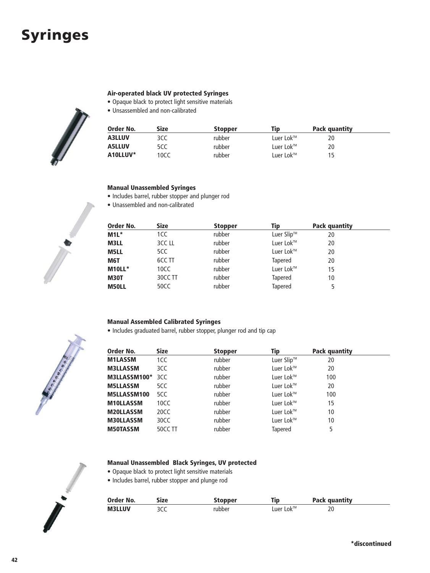## **Syringes**

#### **Air-operated black UV protected Syringes**

- Opaque black to protect light sensitive materials
- Unsassembled and non-calibrated



| Order No.     | Size | <b>Stopper</b> | Tip                                | Pack quantity |  |
|---------------|------|----------------|------------------------------------|---------------|--|
| <b>A3LLUV</b> | 3CC  | rubber         | Luer Lok™                          | 20            |  |
| <b>A5LLUV</b> | 5CC  | rubber         | Luer Lok <sup><math>M</math></sup> | 20            |  |
| A10LLUV*      | 10CC | rubber         | Luer Lok <sup><math>M</math></sup> | 15.           |  |

#### **Manual Unassembled Syringes**

- Includes barrel, rubber stopper and plunger rod
- Unassembled and non-calibrated

| Order No.    | <b>Size</b> | <b>Stopper</b> | Tip            | Pack quantity |  |
|--------------|-------------|----------------|----------------|---------------|--|
| $M1L^*$      | 1CC         | rubber         | Luer Slip™     | 20            |  |
| <b>M3LL</b>  | 3CC LL      | rubber         | Luer Lok™      | 20            |  |
| <b>M5LL</b>  | 5CC         | rubber         | Luer Lok™      | 20            |  |
| M6T          | 6CC TT      | rubber         | <b>Tapered</b> | 20            |  |
| M10LL*       | 10CC        | rubber         | Luer Lok™      | 15            |  |
| <b>M30T</b>  | 30CC TT     | rubber         | <b>Tapered</b> | 10            |  |
| <b>M50LL</b> | 50CC        | rubber         | <b>Tapered</b> | 5             |  |

#### **Manual Assembled Calibrated Syringes**

• Includes graduated barrel, rubber stopper, plunger rod and tip cap

| Order No.        | <b>Size</b> | <b>Stopper</b> | Tip        | Pack quantity |  |
|------------------|-------------|----------------|------------|---------------|--|
| <b>M1LASSM</b>   | 1CC         | rubber         | Luer Slip™ | 20            |  |
| <b>M3LLASSM</b>  | 3CC         | rubber         | Luer Lok™  | 20            |  |
| M3LLASSM100*     | 3CC         | rubber         | Luer Lok™  | 100           |  |
| <b>M5LLASSM</b>  | 5CC         | rubber         | Luer Lok™  | 20            |  |
| M5LLASSM100      | 5CC         | rubber         | Luer Lok™  | 100           |  |
| <b>M10LLASSM</b> | 10CC        | rubber         | Luer Lok™  | 15            |  |
| <b>M20LLASSM</b> | 20CC        | rubber         | Luer Lok™  | 10            |  |
| <b>M30LLASSM</b> | 30CC        | rubber         | Luer Lok™  | 10            |  |
| <b>M50TASSM</b>  | 50CC TT     | rubber         | Tapered    | 5             |  |

#### **Manual Unassembled Black Syringes, UV protected**

- Opaque black to protect light sensitive materials
- Includes barrel, rubber stopper and plunge rod

| Order No.     | ize | stopper | Tip       | Pack quantity |
|---------------|-----|---------|-----------|---------------|
| <b>M3LLUV</b> | sll | rubber  | Luer Lok™ | าก<br>ZU.     |



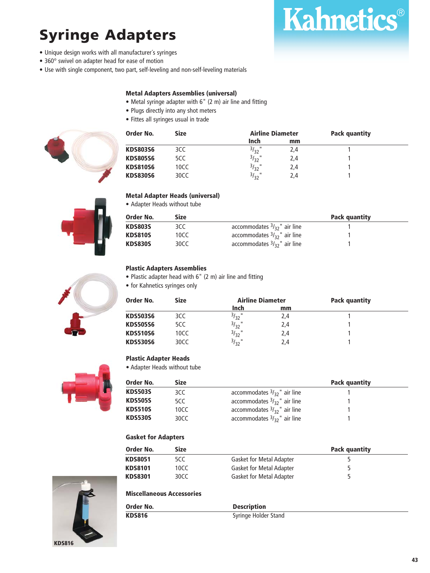## **Syringe Adapters**

- Unique design works with all manufacturer´s syringes
- 360° swivel on adapter head for ease of motion
- Use with single component, two part, self-leveling and non-self-leveling materials

#### **Metal Adapters Assemblies (universal)**

- Metal syringe adapter with 6" (2 m) air line and fitting
- Plugs directly into any shot meters
- Fittes all syringes usual in trade





**Kahnetics®** 





#### **Metal Adapter Heads (universal)**

• Adapter Heads without tube

| Order No.      | Size |                                       | Pack quantity |  |
|----------------|------|---------------------------------------|---------------|--|
| <b>KDS803S</b> | 3CC. | accommodates $\frac{3}{3}$ , air line |               |  |
| <b>KDS810S</b> | 10CC | accommodates $\frac{3}{3}$ , air line |               |  |
| <b>KDS830S</b> | 30CC | accommodates $\frac{3}{3}$ , air line |               |  |

#### **Plastic Adapters Assemblies**

• Plastic adapter head with 6" (2 m) air line and fitting

• for Kahnetics syringes only

| Order No.       | <b>Size</b> | <b>Airline Diameter</b> |     | <b>Pack quantity</b> |  |
|-----------------|-------------|-------------------------|-----|----------------------|--|
|                 |             | Inch                    | mm  |                      |  |
| <b>KDS503S6</b> | 3CC         | $3/32$ "                | 2,4 |                      |  |
| <b>KDS505S6</b> | 5CC         | $3/32$ "                | 2,4 |                      |  |
| <b>KDS510S6</b> | 10CC        | $3/32$ "                | 2,4 |                      |  |
| <b>KDS530S6</b> | 30CC        | $3/32$ "                | 2,4 |                      |  |

#### **Plastic Adapter Heads**

• Adapter Heads without tube



| Order No.      | Size |                                                  | Pack quantity |  |
|----------------|------|--------------------------------------------------|---------------|--|
| <b>KDS503S</b> | 3CC  | accommodates $\frac{3}{3}$ <sup>"</sup> air line |               |  |
| <b>KDS505S</b> | 5CC. | accommodates $\frac{3}{3}$ <sup>"</sup> air line |               |  |
| <b>KDS510S</b> | 10CC | accommodates $\frac{3}{3}$ <sup>"</sup> air line |               |  |
| <b>KDS530S</b> | 30CC | accommodates $\frac{3}{3}$ <sup>"</sup> air line |               |  |

#### **Gasket for Adapters**

| Order No.      | Size  |                                 | Pack quantity |
|----------------|-------|---------------------------------|---------------|
| <b>KDS8051</b> | 5CC   | <b>Gasket for Metal Adapter</b> |               |
| <b>KDS8101</b> | 10CC. | <b>Gasket for Metal Adapter</b> |               |
| <b>KDS8301</b> | 30CC  | <b>Gasket for Metal Adapter</b> |               |

#### **Miscellaneous Accessories**

| Order No.     | <b>Description</b>   |  |
|---------------|----------------------|--|
| <b>KDS816</b> | Syringe Holder Stand |  |

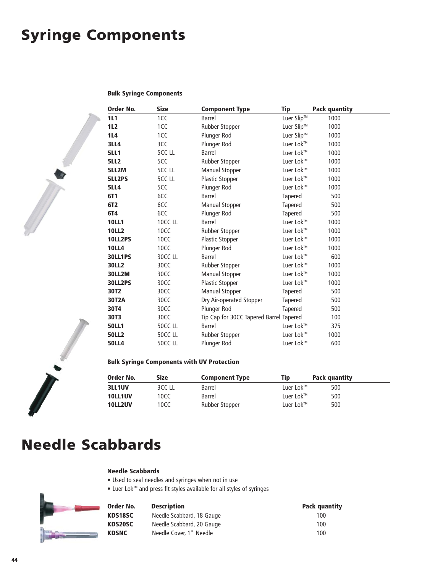## **Syringe Components**

#### **Bulk Syringe Components**

| Order No.      | <b>Size</b>  | <b>Component Type</b>                   | <b>Tip</b>     | <b>Pack quantity</b> |
|----------------|--------------|-----------------------------------------|----------------|----------------------|
| 1L1            | 1CC          | <b>Barrel</b>                           | Luer Slip™     | 1000                 |
| 1L2            | 1CC          | Rubber Stopper                          | Luer Slip™     | 1000                 |
| 1L4            | 1CC          | Plunger Rod                             | Luer Slip™     | 1000                 |
| <b>3LL4</b>    | 3CC          | Plunger Rod                             | Luer Lok™      | 1000                 |
| <b>5LL1</b>    | <b>5CCLL</b> | <b>Barrel</b>                           | Luer Lok™      | 1000                 |
| <b>5LL2</b>    | 5CC          | Rubber Stopper                          | Luer Lok™      | 1000                 |
| 5LL2M          | <b>5CCLL</b> | <b>Manual Stopper</b>                   | Luer Lok™      | 1000                 |
| 5LL2PS         | <b>5CCLL</b> | Plastic Stopper                         | Luer Lok™      | 1000                 |
| <b>5LL4</b>    | 5CC          | Plunger Rod                             | Luer Lok™      | 1000                 |
| 6T1            | 6CC          | Barrel                                  | <b>Tapered</b> | 500                  |
| 6T2            | 6CC          | Manual Stopper                          | Tapered        | 500                  |
| 6T4            | 6CC          | Plunger Rod                             | Tapered        | 500                  |
| <b>10LL1</b>   | 10CC LL      | <b>Barrel</b>                           | Luer Lok™      | 1000                 |
| <b>10LL2</b>   | 10CC         | Rubber Stopper                          | Luer Lok™      | 1000                 |
| 10LL2PS        | 10CC         | Plastic Stopper                         | Luer Lok™      | 1000                 |
| <b>10LL4</b>   | 10CC         | Plunger Rod                             | Luer Lok™      | 1000                 |
| <b>30LL1PS</b> | 30CC LL      | <b>Barrel</b>                           | Luer Lok™      | 600                  |
| 30LL2          | 30CC         | Rubber Stopper                          | Luer Lok™      | 1000                 |
| <b>30LL2M</b>  | 30CC         | <b>Manual Stopper</b>                   | Luer Lok™      | 1000                 |
| <b>30LL2PS</b> | 30CC         | Plastic Stopper                         | Luer Lok™      | 1000                 |
| 30T2           | 30CC         | <b>Manual Stopper</b>                   | <b>Tapered</b> | 500                  |
| 30T2A          | 30CC         | Dry Air-operated Stopper                | Tapered        | 500                  |
| 30T4           | 30CC         | Plunger Rod                             | Tapered        | 500                  |
| 30T3           | 30CC         | Tip Cap for 30CC Tapered Barrel Tapered |                | 100                  |
| <b>50LL1</b>   | 50CC LL      | Barrel                                  | Luer Lok™      | 375                  |
| <b>50LL2</b>   | 50CC LL      | Rubber Stopper                          | Luer Lok™      | 1000                 |
| <b>50LL4</b>   | 50CC LL      | Plunger Rod                             | Luer Lok™      | 600                  |

#### **Bulk Syringe Components with UV Protection**

| Order No.      | <b>Size</b> | <b>Component Type</b> | Tip       | Pack quantity |  |
|----------------|-------------|-----------------------|-----------|---------------|--|
| <b>3LL1UV</b>  | 3CC LL      | Barrel                | Luer Lok™ | 500           |  |
| <b>10LL1UV</b> | 10CC        | Barrel                | Luer Lok™ | 500           |  |
| 10LL2UV        | 10CC        | Rubber Stopper        | Luer Lok™ | 500           |  |

## **Needle Scabbards**

#### **Needle Scabbards**

- Used to seal needles and syringes when not in use
- Luer Lok<sup>™</sup> and press fit styles available for all styles of syringes



| Order No.    | <b>Description</b>        | Pack quantity |
|--------------|---------------------------|---------------|
| KDS18SC      | Needle Scabbard, 18 Gauge | 100           |
| KDS20SC      | Needle Scabbard, 20 Gauge | 100           |
| <b>KDSNC</b> | Needle Cover. 1" Needle   | 100           |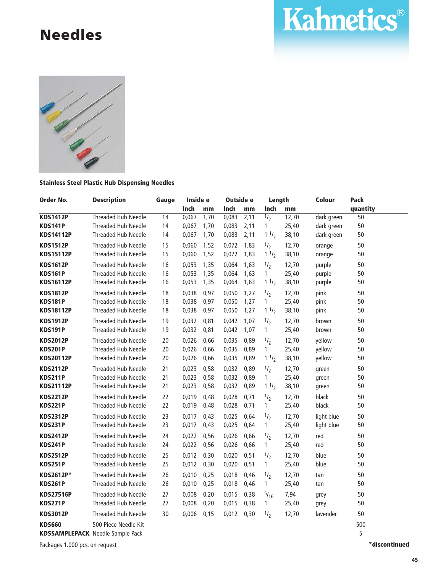## **Needles**





#### **Stainless Steel Plastic Hub Dispensing Needles**

| Order No.        | <b>Description</b>                      | Gauge           | Inside ø |      | Outside ø |      | Length          |                    | Colour     | <b>Pack</b>     |
|------------------|-----------------------------------------|-----------------|----------|------|-----------|------|-----------------|--------------------|------------|-----------------|
|                  |                                         |                 | Inch     | mm   | Inch      | mm   | Inch            | mm                 |            | quantity        |
| <b>KDS1412P</b>  | <b>Threaded Hub Needle</b>              | $\overline{14}$ | 0,067    | 1,70 | 0,083     | 2,11 | $\frac{1}{2}$   | $\overline{12,}70$ | dark green | $\overline{50}$ |
| <b>KDS141P</b>   | Threaded Hub Needle                     | 14              | 0,067    | 1,70 | 0,083     | 2,11 | 1               | 25,40              | dark green | 50              |
| <b>KDS14112P</b> | <b>Threaded Hub Needle</b>              | 14              | 0,067    | 1,70 | 0,083     | 2,11 | $1 \frac{1}{2}$ | 38,10              | dark green | 50              |
| <b>KDS1512P</b>  | <b>Threaded Hub Needle</b>              | 15              | 0.060    | 1,52 | 0,072     | 1,83 | 1/2             | 12,70              | orange     | 50              |
| <b>KDS15112P</b> | Threaded Hub Needle                     | 15              | 0,060    | 1,52 | 0,072     | 1,83 | 11/2            | 38,10              | orange     | 50              |
| <b>KDS1612P</b>  | <b>Threaded Hub Needle</b>              | 16              | 0,053    | 1,35 | 0,064     | 1,63 | 1/2             | 12,70              | purple     | 50              |
| <b>KDS161P</b>   | <b>Threaded Hub Needle</b>              | 16              | 0,053    | 1,35 | 0,064     | 1,63 | $\mathbf{1}$    | 25,40              | purple     | 50              |
| <b>KDS16112P</b> | Threaded Hub Needle                     | 16              | 0,053    | 1,35 | 0,064     | 1,63 | 11/2            | 38,10              | purple     | 50              |
| <b>KDS1812P</b>  | <b>Threaded Hub Needle</b>              | 18              | 0,038    | 0,97 | 0,050     | 1,27 | $\frac{1}{2}$   | 12,70              | pink       | 50              |
| <b>KDS181P</b>   | Threaded Hub Needle                     | 18              | 0,038    | 0,97 | 0,050     | 1,27 | $\mathbf{1}$    | 25,40              | pink       | 50              |
| <b>KDS18112P</b> | <b>Threaded Hub Needle</b>              | 18              | 0,038    | 0,97 | 0,050     | 1,27 | 11/2            | 38,10              | pink       | 50              |
| <b>KDS1912P</b>  | <b>Threaded Hub Needle</b>              | 19              | 0,032    | 0,81 | 0,042     | 1,07 | 1/2             | 12,70              | brown      | 50              |
| <b>KDS191P</b>   | <b>Threaded Hub Needle</b>              | 19              | 0,032    | 0,81 | 0,042     | 1,07 | $\mathbf{1}$    | 25,40              | brown      | 50              |
| <b>KDS2012P</b>  | <b>Threaded Hub Needle</b>              | 20              | 0,026    | 0,66 | 0,035     | 0,89 | $\frac{1}{2}$   | 12,70              | yellow     | 50              |
| <b>KDS201P</b>   | <b>Threaded Hub Needle</b>              | 20              | 0,026    | 0,66 | 0,035     | 0,89 | $\mathbf{1}$    | 25,40              | yellow     | 50              |
| <b>KDS20112P</b> | <b>Threaded Hub Needle</b>              | 20              | 0,026    | 0,66 | 0,035     | 0,89 | $1 \frac{1}{2}$ | 38,10              | yellow     | 50              |
| <b>KDS2112P</b>  | <b>Threaded Hub Needle</b>              | 21              | 0,023    | 0,58 | 0,032     | 0,89 | 1/2             | 12,70              | green      | 50              |
| <b>KDS211P</b>   | Threaded Hub Needle                     | 21              | 0,023    | 0,58 | 0,032     | 0,89 | 1               | 25,40              | green      | 50              |
| <b>KDS21112P</b> | <b>Threaded Hub Needle</b>              | 21              | 0,023    | 0,58 | 0,032     | 0,89 | 11/2            | 38,10              | green      | 50              |
| <b>KDS2212P</b>  | Threaded Hub Needle                     | 22              | 0,019    | 0,48 | 0,028     | 0,71 | 1/2             | 12,70              | black      | 50              |
| <b>KDS221P</b>   | Threaded Hub Needle                     | 22              | 0,019    | 0,48 | 0,028     | 0,71 | 1               | 25,40              | black      | 50              |
| <b>KDS2312P</b>  | Threaded Hub Needle                     | 23              | 0,017    | 0,43 | 0,025     | 0,64 | $^{1/2}$        | 12,70              | light blue | 50              |
| <b>KDS231P</b>   | <b>Threaded Hub Needle</b>              | 23              | 0,017    | 0,43 | 0,025     | 0,64 | 1               | 25,40              | light blue | 50              |
| <b>KDS2412P</b>  | Threaded Hub Needle                     | 24              | 0,022    | 0,56 | 0,026     | 0,66 | 1/2             | 12,70              | red        | 50              |
| <b>KDS241P</b>   | Threaded Hub Needle                     | 24              | 0,022    | 0,56 | 0,026     | 0,66 | $\mathbf{1}$    | 25,40              | red        | 50              |
| <b>KDS2512P</b>  | Threaded Hub Needle                     | 25              | 0,012    | 0,30 | 0,020     | 0,51 | 1/2             | 12,70              | blue       | 50              |
| <b>KDS251P</b>   | Threaded Hub Needle                     | 25              | 0,012    | 0,30 | 0,020     | 0,51 | $\mathbf{1}$    | 25,40              | blue       | 50              |
| <b>KDS2612P*</b> | Threaded Hub Needle                     | 26              | 0,010    | 0,25 | 0,018     | 0,46 | 1/2             | 12,70              | tan        | 50              |
| <b>KDS261P</b>   | Threaded Hub Needle                     | 26              | 0,010    | 0,25 | 0,018     | 0,46 | $\mathbf{1}$    | 25,40              | tan        | 50              |
| <b>KDS27516P</b> | <b>Threaded Hub Needle</b>              | 27              | 0,008    | 0,20 | 0,015     | 0,38 | $^{5/16}$       | 7,94               | grey       | 50              |
| <b>KDS271P</b>   | Threaded Hub Needle                     | 27              | 0,008    | 0,20 | 0,015     | 0,38 | 1               | 25,40              | grey       | 50              |
| <b>KDS3012P</b>  | Threaded Hub Needle                     | 30              | 0,006    | 0,15 | 0,012     | 0,30 | $\frac{1}{2}$   | 12,70              | lavender   | 50              |
| <b>KDS660</b>    | 500 Piece Needle Kit                    |                 |          |      |           |      |                 |                    |            | 500             |
|                  | <b>KDSSAMPLEPACK</b> Needle Sample Pack |                 |          |      |           |      |                 |                    |            | 5               |

Packages 1.000 pcs. on request **\*discontinued**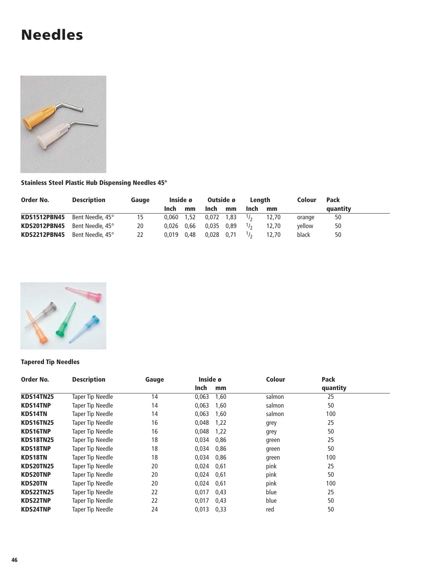## **Needles**



#### **Stainless Steel Plastic Hub Dispensing Needles 45°**

| Order No.           | <b>Description</b> | Gauge | Inside ø |      | Outside ø  |    | Lenath |       | Colour | Pack     |
|---------------------|--------------------|-------|----------|------|------------|----|--------|-------|--------|----------|
|                     |                    |       | Inch     | mm   | Inch       | mm | Inch   | mm    |        | quantity |
| <b>KDS1512PBN45</b> | Bent Needle, 45°   | 15    | 0.060    | 1,52 | 0,072 1,83 |    | 1/2    | 12.70 | orange | 50       |
| <b>KDS2012PBN45</b> | Bent Needle, 45°   | 20    | 0.026    | 0,66 | 0,035 0,89 |    | 1/2    | 12,70 | vellow | 50       |
| <b>KDS2212PBN45</b> | Bent Needle, 45°   | 22    | 0.019    | 0.48 | 0,028 0,71 |    | 1/2    | 12.70 | black  | 50       |



#### **Tapered Tip Needles**

| Order No.        | <b>Description</b>      | Gauge | Inside ø |      | <b>Colour</b> | <b>Pack</b> |  |
|------------------|-------------------------|-------|----------|------|---------------|-------------|--|
|                  |                         |       | Inch     | mm   |               | quantity    |  |
| <b>KDS14TN25</b> | <b>Taper Tip Needle</b> | 14    | 0,063    | 1,60 | salmon        | 25          |  |
| <b>KDS14TNP</b>  | Taper Tip Needle        | 14    | 0,063    | 1,60 | salmon        | 50          |  |
| <b>KDS14TN</b>   | Taper Tip Needle        | 14    | 0,063    | 1,60 | salmon        | 100         |  |
| <b>KDS16TN25</b> | Taper Tip Needle        | 16    | 0,048    | 1,22 | grey          | 25          |  |
| <b>KDS16TNP</b>  | Taper Tip Needle        | 16    | 0.048    | 1,22 | grey          | 50          |  |
| <b>KDS18TN25</b> | Taper Tip Needle        | 18    | 0,034    | 0,86 | green         | 25          |  |
| <b>KDS18TNP</b>  | Taper Tip Needle        | 18    | 0,034    | 0,86 | green         | 50          |  |
| <b>KDS18TN</b>   | Taper Tip Needle        | 18    | 0.034    | 0,86 | green         | 100         |  |
| <b>KDS20TN25</b> | Taper Tip Needle        | 20    | 0.024    | 0.61 | pink          | 25          |  |
| <b>KDS20TNP</b>  | Taper Tip Needle        | 20    | 0,024    | 0,61 | pink          | 50          |  |
| <b>KDS20TN</b>   | Taper Tip Needle        | 20    | 0,024    | 0,61 | pink          | 100         |  |
| <b>KDS22TN25</b> | Taper Tip Needle        | 22    | 0.017    | 0,43 | blue          | 25          |  |
| <b>KDS22TNP</b>  | Taper Tip Needle        | 22    | 0,017    | 0,43 | blue          | 50          |  |
| <b>KDS24TNP</b>  | Taper Tip Needle        | 24    | 0.013    | 0,33 | red           | 50          |  |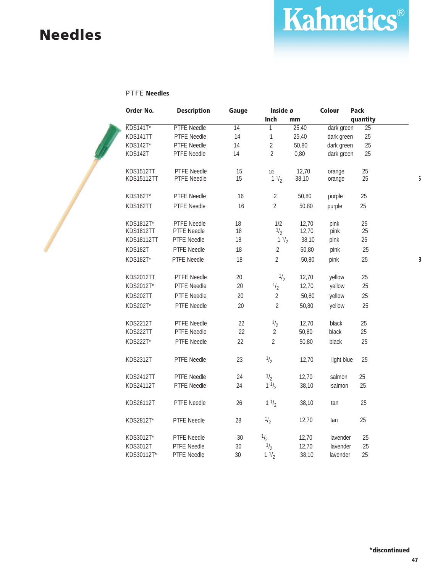## **Needles**

## Kahnetics®

#### PTFE **Needles**

| Order No.                      | <b>Description</b>         | Gauge           | Inside ø        |       | Colour     | <b>Pack</b>     |                         |
|--------------------------------|----------------------------|-----------------|-----------------|-------|------------|-----------------|-------------------------|
|                                |                            |                 | Inch            | mm    |            | quantity        |                         |
| KDS141T*                       | <b>PTFE Needle</b>         | $\overline{14}$ | $\mathbf{1}$    | 25,40 | dark green | $\overline{25}$ |                         |
| KDS141TT                       | <b>PTFE Needle</b>         | 14              | 1               | 25,40 | dark green | 25              |                         |
| KDS142T*                       | PTFE Needle                | 14              | $\overline{2}$  | 50,80 | dark green | 25              |                         |
| KDS142T                        | PTFE Needle                | 14              | $\overline{2}$  | 0,80  | dark green | 25              |                         |
|                                |                            |                 |                 |       |            |                 |                         |
| <b>KDS1512TT</b><br>KDS15112TT | PTFE Needle<br>PTFE Needle | 15<br>15        | 1/2             | 12,70 | orange     | 25<br>25        |                         |
|                                |                            |                 | $1 \frac{1}{2}$ | 38,10 | orange     |                 | $\ddot{\mathbf{5}}$     |
| <b>KDS162T</b> *               | PTFE Needle                | 16              | $\overline{2}$  | 50,80 | purple     | 25              |                         |
| KDS162TT                       | PTFE Needle                | 16              | $\overline{2}$  | 50,80 | purple     | 25              |                         |
| KDS1812T*                      | PTFE Needle                | 18              | 1/2             | 12,70 | pink       | 25              |                         |
| <b>KDS1812TT</b>               | PTFE Needle                | 18              | $\frac{1}{2}$   | 12,70 | pink       | 25              |                         |
| KDS18112TT                     | PTFE Needle                | 18              | $1 \frac{1}{2}$ | 38,10 | pink       | 25              |                         |
| KDS182T                        | PTFE Needle                | 18              | $\overline{2}$  | 50,80 | pink       | 25              |                         |
| KDS182T*                       | PTFE Needle                | 18              | $\overline{2}$  | 50,80 | pink       | 25              | $\overline{\mathbf{3}}$ |
|                                |                            |                 |                 |       |            |                 |                         |
| <b>KDS2012TT</b>               | PTFE Needle                | $20\,$          | $^{1/2}$        | 12,70 | yellow     | 25              |                         |
| KDS2012T*                      | PTFE Needle                | 20              | $\frac{1}{2}$   | 12,70 | yellow     | 25              |                         |
| KDS202TT                       | PTFE Needle                | 20              | $\overline{2}$  | 50,80 | yellow     | 25              |                         |
| KDS202T*                       | PTFE Needle                | 20              | $\overline{2}$  | 50,80 | yellow     | 25              |                         |
|                                |                            |                 |                 |       |            |                 |                         |
| <b>KDS2212T</b>                | PTFE Needle                | 22              | $\frac{1}{2}$   | 12,70 | black      | 25              |                         |
| KDS222TT                       | PTFE Needle                | 22              | $\overline{2}$  | 50,80 | black      | 25              |                         |
| KDS222T*                       | PTFE Needle                | 22              | $\overline{2}$  | 50,80 | black      | 25              |                         |
| <b>KDS2312T</b>                | PTFE Needle                | 23              | $\frac{1}{2}$   | 12,70 | light blue | 25              |                         |
|                                |                            |                 |                 |       |            |                 |                         |
| <b>KDS2412TT</b>               | <b>PTFE Needle</b>         | 24              | $\frac{1}{2}$   | 12,70 | salmon     | 25              |                         |
| KDS24112T                      | PTFE Needle                | 24              | 11/2            | 38,10 | salmon     | 25              |                         |
|                                |                            |                 |                 |       |            |                 |                         |
| KDS26112T                      | PTFE Needle                | 26              | $1 \frac{1}{2}$ | 38,10 | tan        | 25              |                         |
| KDS2812T*                      | PTFE Needle                | 28              | $\frac{1}{2}$   | 12,70 | tan        | 25              |                         |
| KDS3012T*                      | PTFE Needle                | $30\,$          | $\frac{1}{2}$   | 12,70 | lavender   | 25              |                         |
| KDS3012T                       | PTFE Needle                | $30\,$          | $\frac{1}{2}$   | 12,70 | lavender   | 25              |                         |
| KDS30112T*                     | PTFE Needle                | 30              | 11/2            | 38,10 | lavender   | 25              |                         |
|                                |                            |                 |                 |       |            |                 |                         |